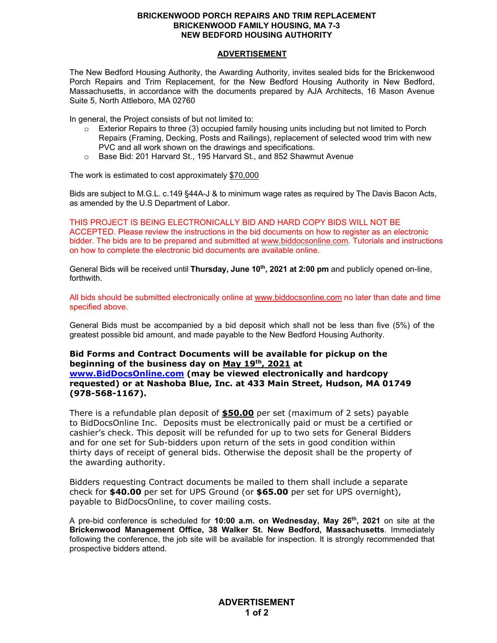## **BRICKENWOOD PORCH REPAIRS AND TRIM REPLACEMENT BRICKENWOOD FAMILY HOUSING, MA 7-3 NEW BEDFORD HOUSING AUTHORITY**

## **ADVERTISEMENT**

The New Bedford Housing Authority, the Awarding Authority, invites sealed bids for the Brickenwood Porch Repairs and Trim Replacement, for the New Bedford Housing Authority in New Bedford, Massachusetts, in accordance with the documents prepared by AJA Architects, 16 Mason Avenue Suite 5, North Attleboro, MA 02760

In general, the Project consists of but not limited to:

- $\circ$  Exterior Repairs to three (3) occupied family housing units including but not limited to Porch Repairs (Framing, Decking, Posts and Railings), replacement of selected wood trim with new PVC and all work shown on the drawings and specifications.
- o Base Bid: 201 Harvard St., 195 Harvard St., and 852 Shawmut Avenue

The work is estimated to cost approximately \$70,000

Bids are subject to M.G.L. c.149 §44A-J & to minimum wage rates as required by The Davis Bacon Acts, as amended by the U.S Department of Labor.

THIS PROJECT IS BEING ELECTRONICALLY BID AND HARD COPY BIDS WILL NOT BE ACCEPTED. Please review the instructions in the bid documents on how to register as an electronic bidder. The bids are to be prepared and submitted at [www.biddocsonline.com.](http://www.biddocsonline.com/) Tutorials and instructions on how to complete the electronic bid documents are available online.

General Bids will be received until **Thursday, June 10th, 2021 at 2:00 pm** and publicly opened on-line, forthwith.

All bids should be submitted electronically online at [www.biddocsonline.com](http://www.biddocsonline.com/) no later than date and time specified above.

General Bids must be accompanied by a bid deposit which shall not be less than five (5%) of the greatest possible bid amount, and made payable to the New Bedford Housing Authority.

## **Bid Forms and Contract Documents will be available for pickup on the beginning of the business day on May 19th, 2021 at [www.BidDocsOnline.com](http://www.biddocsonline.com/) (may be viewed electronically and hardcopy requested) or at Nashoba Blue, Inc. at 433 Main Street, Hudson, MA 01749 (978-568-1167).**

There is a refundable plan deposit of **\$50.00** per set (maximum of 2 sets) payable to BidDocsOnline Inc. Deposits must be electronically paid or must be a certified or cashier's check. This deposit will be refunded for up to two sets for General Bidders and for one set for Sub-bidders upon return of the sets in good condition within thirty days of receipt of general bids. Otherwise the deposit shall be the property of the awarding authority.

Bidders requesting Contract documents be mailed to them shall include a separate check for **\$40.00** per set for UPS Ground (or **\$65.00** per set for UPS overnight), payable to BidDocsOnline, to cover mailing costs.

A pre-bid conference is scheduled for **10:00 a.m. on Wednesday, May 26th, 2021** on site at the **Brickenwood Management Office, 38 Walker St. New Bedford, Massachusetts**. Immediately following the conference, the job site will be available for inspection. It is strongly recommended that prospective bidders attend.